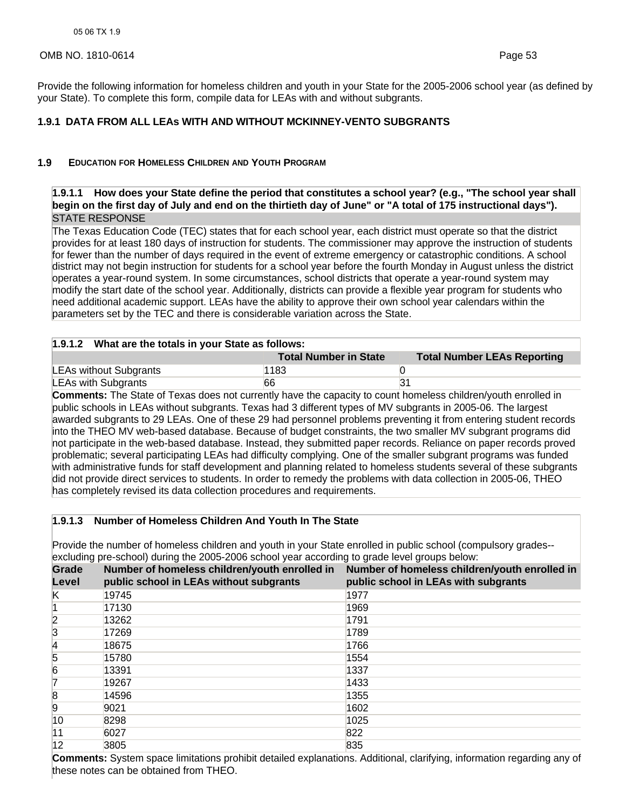# OMB NO. 1810-0614 Page 53

Provide the following information for homeless children and youth in your State for the 2005-2006 school year (as defined by your State). To complete this form, compile data for LEAs with and without subgrants.

# **1.9.1 DATA FROM ALL LEAs WITH AND WITHOUT MCKINNEY-VENTO SUBGRANTS**

### **1.9 EDUCATION FOR HOMELESS CHILDREN AND YOUTH PROGRAM**

# **1.9.1.1 How does your State define the period that constitutes a school year? (e.g., "The school year shall begin on the first day of July and end on the thirtieth day of June" or "A total of 175 instructional days").**  STATE RESPONSE

The Texas Education Code (TEC) states that for each school year, each district must operate so that the district provides for at least 180 days of instruction for students. The commissioner may approve the instruction of students for fewer than the number of days required in the event of extreme emergency or catastrophic conditions. A school district may not begin instruction for students for a school year before the fourth Monday in August unless the district operates a year-round system. In some circumstances, school districts that operate a year-round system may modify the start date of the school year. Additionally, districts can provide a flexible year program for students who need additional academic support. LEAs have the ability to approve their own school year calendars within the parameters set by the TEC and there is considerable variation across the State.

#### **1.9.1.2 What are the totals in your State as follows:**

|                            | <b>Total Number in State</b> | <b>Total Number LEAs Reporting</b> |  |  |
|----------------------------|------------------------------|------------------------------------|--|--|
| LEAs without Subgrants     | 1183                         |                                    |  |  |
| <b>LEAs with Subgrants</b> | 66                           |                                    |  |  |

**Comments:** The State of Texas does not currently have the capacity to count homeless children/youth enrolled in public schools in LEAs without subgrants. Texas had 3 different types of MV subgrants in 2005-06. The largest awarded subgrants to 29 LEAs. One of these 29 had personnel problems preventing it from entering student records into the THEO MV web-based database. Because of budget constraints, the two smaller MV subgrant programs did not participate in the web-based database. Instead, they submitted paper records. Reliance on paper records proved problematic; several participating LEAs had difficulty complying. One of the smaller subgrant programs was funded with administrative funds for staff development and planning related to homeless students several of these subgrants did not provide direct services to students. In order to remedy the problems with data collection in 2005-06, THEO has completely revised its data collection procedures and requirements.

# **1.9.1.3 Number of Homeless Children And Youth In The State**

Provide the number of homeless children and youth in your State enrolled in public school (compulsory grades- excluding pre-school) during the 2005-2006 school year according to grade level groups below:

| Grade<br>Level | public school in LEAs without subgrants | Number of homeless children/youth enrolled in Number of homeless children/youth enrolled in<br>public school in LEAs with subgrants |
|----------------|-----------------------------------------|-------------------------------------------------------------------------------------------------------------------------------------|
| K              | 19745                                   | 1977                                                                                                                                |
|                | 17130                                   | 1969                                                                                                                                |
| 2              | 13262                                   | 1791                                                                                                                                |
| 3              | 17269                                   | 1789                                                                                                                                |
| 14             | 18675                                   | 1766                                                                                                                                |
| 5              | 15780                                   | 1554                                                                                                                                |
| 6              | 13391                                   | 1337                                                                                                                                |
| 17             | 19267                                   | 1433                                                                                                                                |
| 8              | 14596                                   | 1355                                                                                                                                |
| 9              | 9021                                    | 1602                                                                                                                                |
| 10             | 8298                                    | 1025                                                                                                                                |
| 11             | 6027                                    | 822                                                                                                                                 |
| 12             | 3805                                    | 835                                                                                                                                 |

**Comments:** System space limitations prohibit detailed explanations. Additional, clarifying, information regarding any of these notes can be obtained from THEO.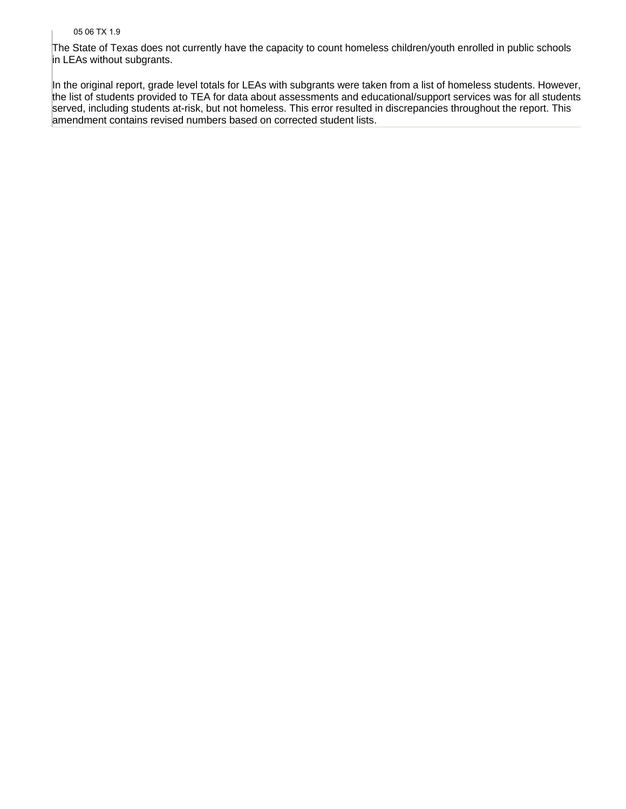#### 05 06 TX 1.9

The State of Texas does not currently have the capacity to count homeless children/youth enrolled in public schools in LEAs without subgrants.

In the original report, grade level totals for LEAs with subgrants were taken from a list of homeless students. However, the list of students provided to TEA for data about assessments and educational/support services was for all students served, including students at-risk, but not homeless. This error resulted in discrepancies throughout the report. This amendment contains revised numbers based on corrected student lists.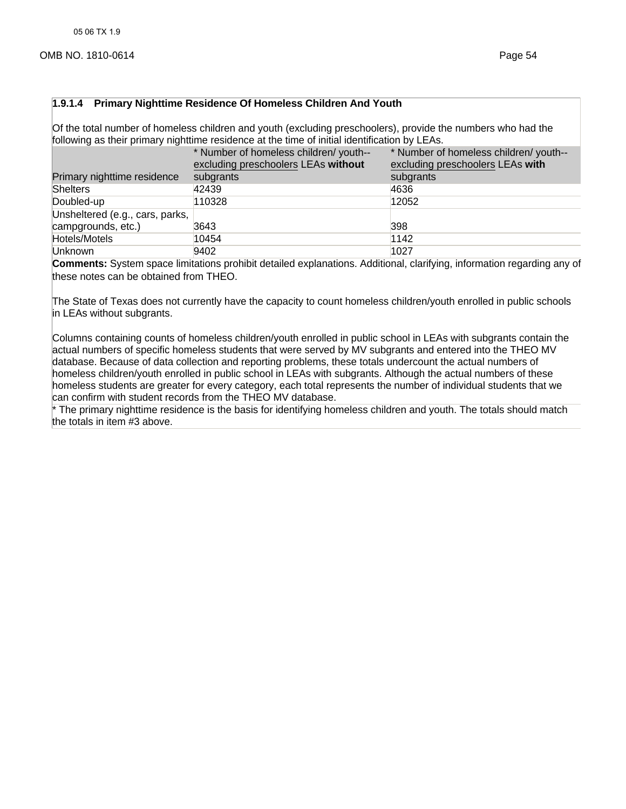#### **1.9.1.4 Primary Nighttime Residence Of Homeless Children And Youth**

Of the total number of homeless children and youth (excluding preschoolers), provide the numbers who had the following as their primary nighttime residence at the time of initial identification by LEAs.

|                                 | * Number of homeless children/ youth--<br>excluding preschoolers LEAs without | * Number of homeless children/ youth--<br>excluding preschoolers LEAs with |
|---------------------------------|-------------------------------------------------------------------------------|----------------------------------------------------------------------------|
| Primary nighttime residence     | subgrants                                                                     | subgrants                                                                  |
| Shelters                        | 42439                                                                         | 4636                                                                       |
| Doubled-up                      | 110328                                                                        | 12052                                                                      |
| Unsheltered (e.g., cars, parks, |                                                                               |                                                                            |
| campgrounds, etc.)              | 3643                                                                          | 398                                                                        |
| Hotels/Motels                   | 10454                                                                         | 1142                                                                       |
| Unknown                         | 9402                                                                          | 1027                                                                       |

**Comments:** System space limitations prohibit detailed explanations. Additional, clarifying, information regarding any of these notes can be obtained from THEO.

The State of Texas does not currently have the capacity to count homeless children/youth enrolled in public schools in LEAs without subgrants.

Columns containing counts of homeless children/youth enrolled in public school in LEAs with subgrants contain the actual numbers of specific homeless students that were served by MV subgrants and entered into the THEO MV database. Because of data collection and reporting problems, these totals undercount the actual numbers of homeless children/youth enrolled in public school in LEAs with subgrants. Although the actual numbers of these homeless students are greater for every category, each total represents the number of individual students that we can confirm with student records from the THEO MV database.

\* The primary nighttime residence is the basis for identifying homeless children and youth. The totals should match the totals in item #3 above.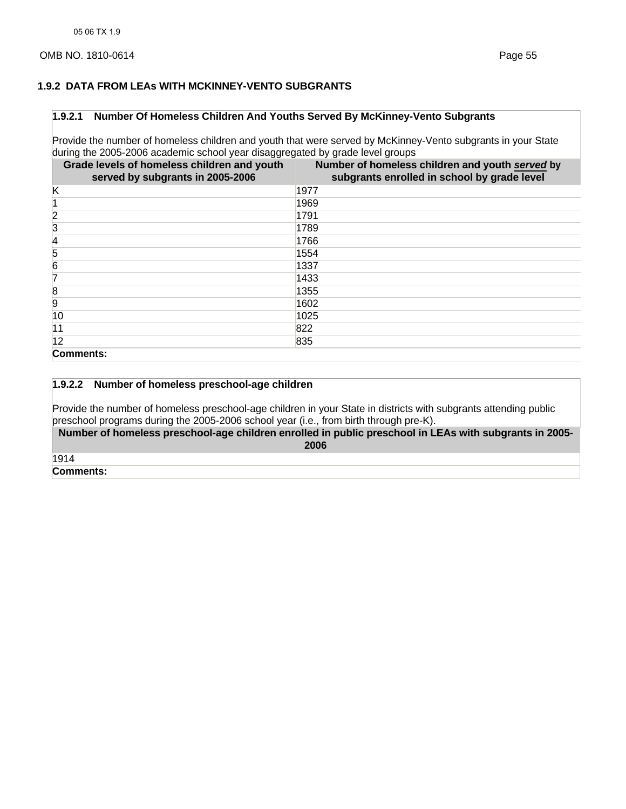## **1.9.2 DATA FROM LEAs WITH MCKINNEY-VENTO SUBGRANTS**

#### **1.9.2.1 Number Of Homeless Children And Youths Served By McKinney-Vento Subgrants**

Provide the number of homeless children and youth that were served by McKinney-Vento subgrants in your State during the 2005-2006 academic school year disaggregated by grade level groups

| Grade levels of homeless children and youth<br>served by subgrants in 2005-2006 | Number of homeless children and youth served by<br>subgrants enrolled in school by grade level |
|---------------------------------------------------------------------------------|------------------------------------------------------------------------------------------------|
| κ                                                                               | 1977                                                                                           |
|                                                                                 | 1969                                                                                           |
| 2                                                                               | 1791                                                                                           |
| 3                                                                               | 1789                                                                                           |
| 14                                                                              | 1766                                                                                           |
| 5                                                                               | 1554                                                                                           |
| 6                                                                               | 1337                                                                                           |
| 17                                                                              | 1433                                                                                           |
| 8                                                                               | 1355                                                                                           |
| $ 9\rangle$                                                                     | 1602                                                                                           |
| 10                                                                              | 1025                                                                                           |
| 11                                                                              | 822                                                                                            |
| 12                                                                              | 835                                                                                            |
| Comments:                                                                       |                                                                                                |

### **1.9.2.2 Number of homeless preschool-age children**

Provide the number of homeless preschool-age children in your State in districts with subgrants attending public preschool programs during the 2005-2006 school year (i.e., from birth through pre-K).

**Number of homeless preschool-age children enrolled in public preschool in LEAs with subgrants in 2005- 2006** 

1914

**Comments:**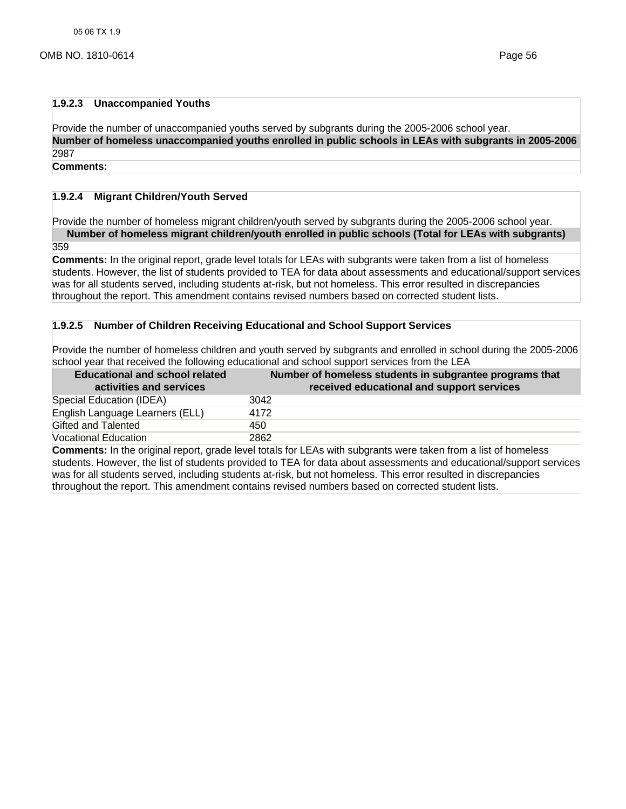#### **1.9.2.3 Unaccompanied Youths**

Provide the number of unaccompanied youths served by subgrants during the 2005-2006 school year. **Number of homeless unaccompanied youths enrolled in public schools in LEAs with subgrants in 2005-2006**  2987

### **Comments:**

# **1.9.2.4 Migrant Children/Youth Served**

Provide the number of homeless migrant children/youth served by subgrants during the 2005-2006 school year. **Number of homeless migrant children/youth enrolled in public schools (Total for LEAs with subgrants)** 

359

**Comments:** In the original report, grade level totals for LEAs with subgrants were taken from a list of homeless students. However, the list of students provided to TEA for data about assessments and educational/support services was for all students served, including students at-risk, but not homeless. This error resulted in discrepancies throughout the report. This amendment contains revised numbers based on corrected student lists.

### **1.9.2.5 Number of Children Receiving Educational and School Support Services**

Provide the number of homeless children and youth served by subgrants and enrolled in school during the 2005-2006 school year that received the following educational and school support services from the LEA

| <b>Educational and school related</b><br>activities and services | Number of homeless students in subgrantee programs that<br>received educational and support services |
|------------------------------------------------------------------|------------------------------------------------------------------------------------------------------|
| Special Education (IDEA)                                         | 3042                                                                                                 |
| English Language Learners (ELL)                                  | 4172                                                                                                 |
| Gifted and Talented                                              | 450                                                                                                  |
| Vocational Education                                             | 2862                                                                                                 |

**Comments:** In the original report, grade level totals for LEAs with subgrants were taken from a list of homeless students. However, the list of students provided to TEA for data about assessments and educational/support services was for all students served, including students at-risk, but not homeless. This error resulted in discrepancies throughout the report. This amendment contains revised numbers based on corrected student lists.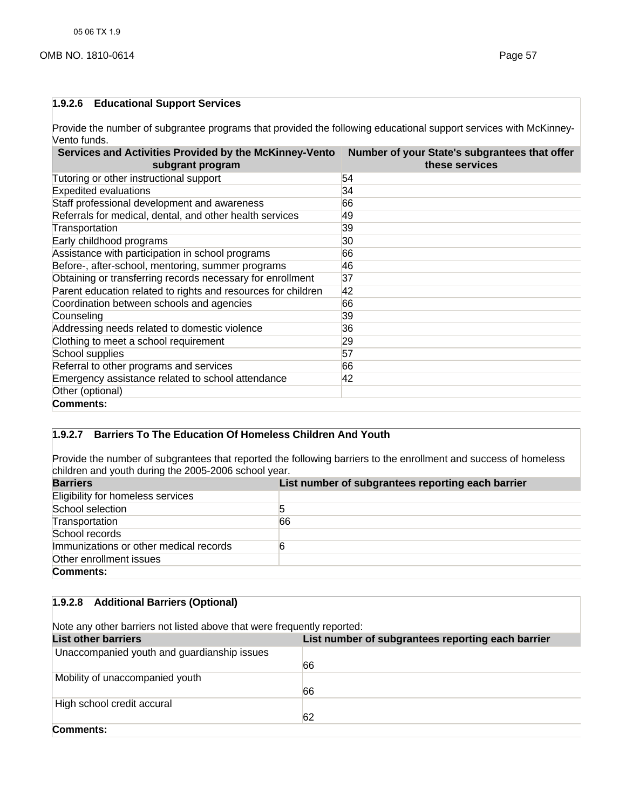## **1.9.2.6 Educational Support Services**

Provide the number of subgrantee programs that provided the following educational support services with McKinney-Vento funds.

| Services and Activities Provided by the McKinney-Vento<br>subgrant program | Number of your State's subgrantees that offer<br>these services |
|----------------------------------------------------------------------------|-----------------------------------------------------------------|
| Tutoring or other instructional support                                    | 54                                                              |
| <b>Expedited evaluations</b>                                               | 34                                                              |
| Staff professional development and awareness                               | 66                                                              |
| Referrals for medical, dental, and other health services                   | 49                                                              |
| Transportation                                                             | 39                                                              |
| Early childhood programs                                                   | 30                                                              |
| Assistance with participation in school programs                           | 66                                                              |
| Before-, after-school, mentoring, summer programs                          | 46                                                              |
| Obtaining or transferring records necessary for enrollment                 | 37                                                              |
| Parent education related to rights and resources for children              | 42                                                              |
| Coordination between schools and agencies                                  | 66                                                              |
| Counseling                                                                 | 39                                                              |
| Addressing needs related to domestic violence                              | 36                                                              |
| Clothing to meet a school requirement                                      | 29                                                              |
| School supplies                                                            | 57                                                              |
| Referral to other programs and services                                    | 66                                                              |
| Emergency assistance related to school attendance                          | 42                                                              |
| Other (optional)                                                           |                                                                 |
| Comments:                                                                  |                                                                 |

# **1.9.2.7 Barriers To The Education Of Homeless Children And Youth**

Provide the number of subgrantees that reported the following barriers to the enrollment and success of homeless children and youth during the 2005-2006 school year.

| <b>Barriers</b>                        | List number of subgrantees reporting each barrier |  |
|----------------------------------------|---------------------------------------------------|--|
| Eligibility for homeless services      |                                                   |  |
| School selection                       |                                                   |  |
| Transportation                         | 66                                                |  |
| School records                         |                                                   |  |
| Immunizations or other medical records |                                                   |  |
| Other enrollment issues                |                                                   |  |
| Comments:                              |                                                   |  |

# **1.9.2.8 Additional Barriers (Optional)**

Note any other barriers not listed above that were frequently reported:

| <b>List other barriers</b>                  | List number of subgrantees reporting each barrier |
|---------------------------------------------|---------------------------------------------------|
| Unaccompanied youth and guardianship issues |                                                   |
|                                             | 66                                                |
| Mobility of unaccompanied youth             |                                                   |
|                                             | 66                                                |
| High school credit accural                  |                                                   |
|                                             | 62                                                |
| Comments:                                   |                                                   |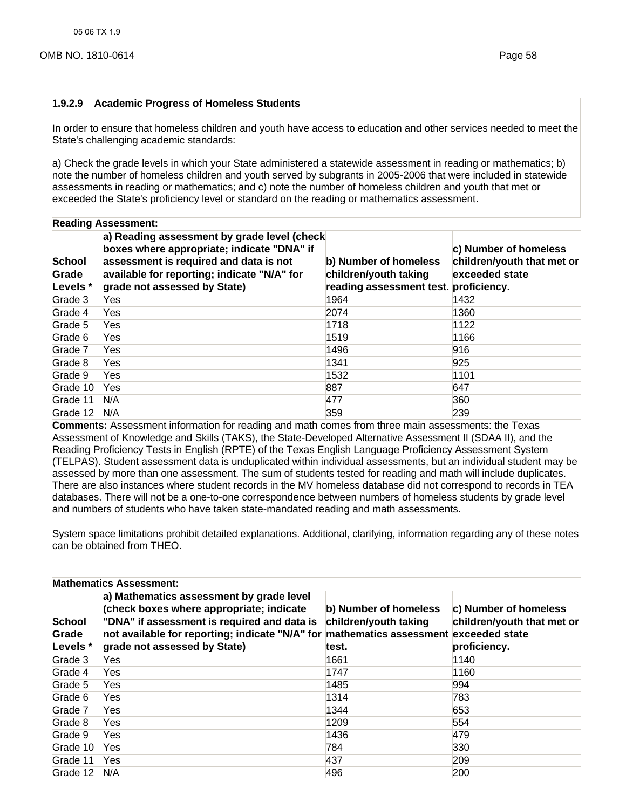#### **1.9.2.9 Academic Progress of Homeless Students**

In order to ensure that homeless children and youth have access to education and other services needed to meet the State's challenging academic standards:

a) Check the grade levels in which your State administered a statewide assessment in reading or mathematics; b) note the number of homeless children and youth served by subgrants in 2005-2006 that were included in statewide assessments in reading or mathematics; and c) note the number of homeless children and youth that met or exceeded the State's proficiency level or standard on the reading or mathematics assessment.

| <b>Reading Assessment:</b> |
|----------------------------|
|                            |

| School<br>Grade<br>Levels * | a) Reading assessment by grade level (check<br>boxes where appropriate; indicate "DNA" if<br>assessment is required and data is not<br>available for reporting; indicate "N/A" for<br>grade not assessed by State) | b) Number of homeless<br>children/youth taking<br>reading assessment test. proficiency. | c) Number of homeless<br>children/youth that met or<br>exceeded state |
|-----------------------------|--------------------------------------------------------------------------------------------------------------------------------------------------------------------------------------------------------------------|-----------------------------------------------------------------------------------------|-----------------------------------------------------------------------|
| Grade 3                     | Yes                                                                                                                                                                                                                | 1964                                                                                    | 1432                                                                  |
| Grade 4                     | Yes                                                                                                                                                                                                                | 2074                                                                                    | 1360                                                                  |
| Grade 5                     | Yes                                                                                                                                                                                                                | 1718                                                                                    | 1122                                                                  |
| Grade 6                     | Yes                                                                                                                                                                                                                | 1519                                                                                    | 1166                                                                  |
| Grade 7                     | Yes                                                                                                                                                                                                                | 1496                                                                                    | 916                                                                   |
| Grade 8                     | Yes                                                                                                                                                                                                                | 1341                                                                                    | 925                                                                   |
| Grade 9                     | Yes                                                                                                                                                                                                                | 1532                                                                                    | 1101                                                                  |
| Grade 10                    | Yes                                                                                                                                                                                                                | 887                                                                                     | 647                                                                   |
| Grade 11                    | N/A                                                                                                                                                                                                                | 477                                                                                     | 360                                                                   |
| Grade 12                    | N/A                                                                                                                                                                                                                | 359                                                                                     | 239                                                                   |

**Comments:** Assessment information for reading and math comes from three main assessments: the Texas Assessment of Knowledge and Skills (TAKS), the State-Developed Alternative Assessment II (SDAA II), and the Reading Proficiency Tests in English (RPTE) of the Texas English Language Proficiency Assessment System (TELPAS). Student assessment data is unduplicated within individual assessments, but an individual student may be assessed by more than one assessment. The sum of students tested for reading and math will include duplicates. There are also instances where student records in the MV homeless database did not correspond to records in TEA databases. There will not be a one-to-one correspondence between numbers of homeless students by grade level and numbers of students who have taken state-mandated reading and math assessments.

System space limitations prohibit detailed explanations. Additional, clarifying, information regarding any of these notes can be obtained from THEO.

| <b>Mathematics Assessment:</b> |                                                                                                                                                                                                                                                              |                                                         |                                                                     |
|--------------------------------|--------------------------------------------------------------------------------------------------------------------------------------------------------------------------------------------------------------------------------------------------------------|---------------------------------------------------------|---------------------------------------------------------------------|
| School<br>Grade<br>Levels *    | a) Mathematics assessment by grade level<br>(check boxes where appropriate; indicate<br>"DNA" if assessment is required and data is<br>not available for reporting; indicate "N/A" for mathematics assessment exceeded state<br>grade not assessed by State) | b) Number of homeless<br>children/youth taking<br>test. | c) Number of homeless<br>children/youth that met or<br>proficiency. |
| Grade 3                        | Yes                                                                                                                                                                                                                                                          | 1661                                                    | 1140                                                                |
| Grade 4                        | Yes                                                                                                                                                                                                                                                          | 1747                                                    | 1160                                                                |
| Grade 5                        | Yes                                                                                                                                                                                                                                                          | 1485                                                    | 994                                                                 |
| Grade 6                        | Yes                                                                                                                                                                                                                                                          | 1314                                                    | 783                                                                 |
| Grade 7                        | Yes                                                                                                                                                                                                                                                          | 1344                                                    | 653                                                                 |
| Grade 8                        | Yes                                                                                                                                                                                                                                                          | 1209                                                    | 554                                                                 |
| Grade 9                        | Yes                                                                                                                                                                                                                                                          | 1436                                                    | 479                                                                 |
| Grade 10                       | Yes                                                                                                                                                                                                                                                          | 784                                                     | 330                                                                 |
| Grade 11                       | Yes                                                                                                                                                                                                                                                          | 437                                                     | 209                                                                 |
| Grade 12                       | N/A                                                                                                                                                                                                                                                          | 496                                                     | 200                                                                 |